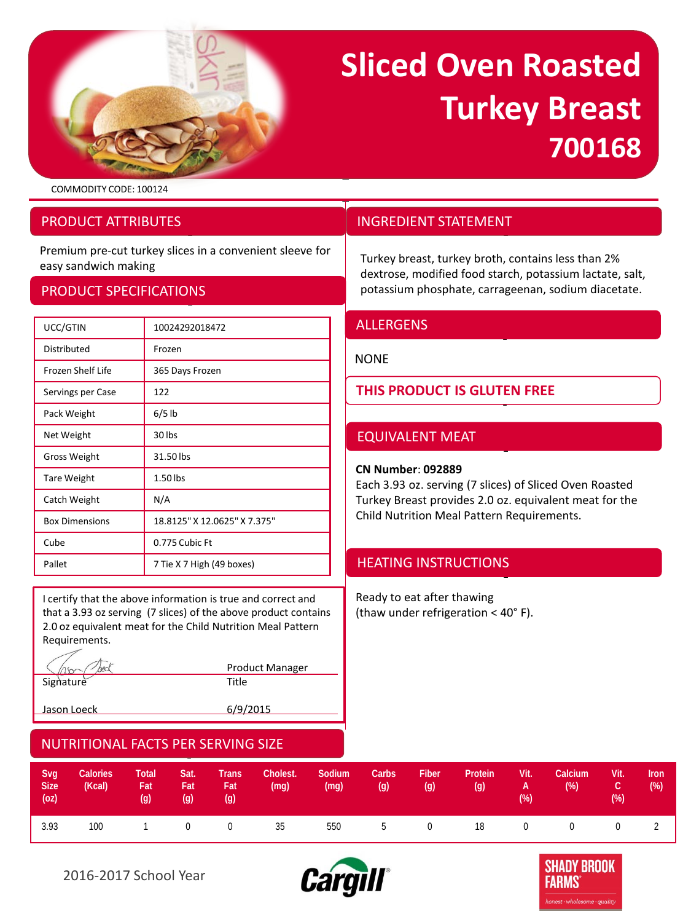

# **Sliced Oven Roasted Turkey Breast 700168**

dextrose, modified food starch, potassium lactate, salt, potassium phosphate, carrageenan, sodium diacetate.

COMMODITY CODE: 100124

### PRODUCT ATTRIBUTES

Premium pre-cut turkey slices in a convenient sleeve for easy sandwich making<br>easy sandwich making the convenient sieeve for the Turkey breast, turkey broth, contains less than 2%

### PRODUCT SPECIFICATIONS

| UCC/GTIN              | 10024292018472               |
|-----------------------|------------------------------|
| Distributed           | Frozen                       |
| Frozen Shelf Life     | 365 Days Frozen              |
| Servings per Case     | 122                          |
| Pack Weight           | $6/5$ lb                     |
| Net Weight            | 30 lbs                       |
| <b>Gross Weight</b>   | 31.50 lbs                    |
| <b>Tare Weight</b>    | 1.50 lbs                     |
| Catch Weight          | N/A                          |
| <b>Box Dimensions</b> | 18.8125" X 12.0625" X 7.375" |
| Cube                  | 0.775 Cubic Ft               |
| Pallet                | 7 Tie X 7 High (49 boxes)    |

I certify that the above information is true and correct and that a 3.93 oz serving (7 slices) of the above product contains 2.0 oz equivalent meat for the Child Nutrition Meal Pattern Requirements.

|           | <b>Product Manager</b> |
|-----------|------------------------|
| Signature | ⊤itle ∶                |

Jason Loeck 6/9/2015

## ALLERGENS

INGREDIENT STATEMENT

#### NONE

**THIS PRODUCT IS GLUTEN FREE**

## EQUIVALENT MEAT

#### **CN Number**: **092889**

Each 3.93 oz. serving (7 slices) of Sliced Oven Roasted Turkey Breast provides 2.0 oz. equivalent meat for the Child Nutrition Meal Pattern Requirements.

## HEATING INSTRUCTIONS

Ready to eat after thawing (thaw under refrigeration < 40° F).

| Svg<br><b>Size</b> | <b>Calories</b><br>(Kcal)<br>$(oz)$ and $(2z)$ and $(2z)$ | Total<br>Fat<br>$\left( q\right)$ | Sat.<br>Fat<br>(g) | <b>Trans</b><br>Fat<br>(g) | Cholest.<br>(mg) | Sodium<br>(mg) | Carbs<br>(g) | Fiber<br>(g) | Protein<br>(q) | Vit.<br>$A \rightarrow$<br>$(\%)$ | Calcium<br>$(\%)$ | Vit.<br>1 C 7<br>(%) | <b>Iron</b><br>(% ) |
|--------------------|-----------------------------------------------------------|-----------------------------------|--------------------|----------------------------|------------------|----------------|--------------|--------------|----------------|-----------------------------------|-------------------|----------------------|---------------------|
| 3.93               | 100                                                       |                                   |                    | 1 0 0 35                   |                  | 550            |              |              |                |                                   | 5 0 18 0 0        | 0                    |                     |



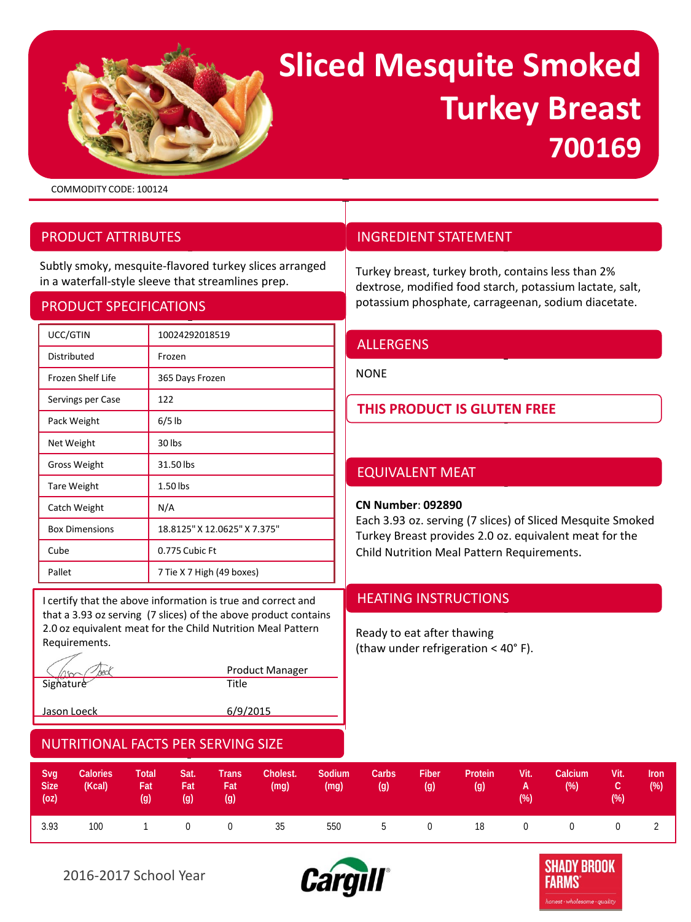# **Sliced Mesquite Smoked Turkey Breast 700169**

COMMODITY CODE: 100124

## PRODUCT ATTRIBUTES

Subtly smoky, mesquite-flavored turkey slices arranged in a waterfall-style sleeve that streamlines prep.

#### PRODUCT SPECIFICATIONS

| UCC/GTIN              | 10024292018519               |  |  |  |  |  |
|-----------------------|------------------------------|--|--|--|--|--|
| Distributed           | Frozen                       |  |  |  |  |  |
| Frozen Shelf Life     | 365 Days Frozen              |  |  |  |  |  |
| Servings per Case     | 122                          |  |  |  |  |  |
| Pack Weight           | $6/5$ lb                     |  |  |  |  |  |
| Net Weight            | 30 lbs                       |  |  |  |  |  |
| <b>Gross Weight</b>   | 31.50 lbs                    |  |  |  |  |  |
| <b>Tare Weight</b>    | 1.50 lbs                     |  |  |  |  |  |
| Catch Weight          | N/A                          |  |  |  |  |  |
| <b>Box Dimensions</b> | 18.8125" X 12.0625" X 7.375" |  |  |  |  |  |
| Cube                  | 0.775 Cubic Ft               |  |  |  |  |  |
| Pallet                | 7 Tie X 7 High (49 boxes)    |  |  |  |  |  |

I certify that the above information is true and correct and **HEATING INSTRUCTIONS** that a 3.93 oz serving (7 slices) of the above product contains 2.0 oz equivalent meat for the Child Nutrition Meal Pattern Requirements.

Signature Title

Product Manager

Jason Loeck 6/9/2015

## INGREDIENT STATEMENT

Turkey breast, turkey broth, contains less than 2% dextrose, modified food starch, potassium lactate, salt, potassium phosphate, carrageenan, sodium diacetate.

#### **ALLERGENS**

NONE

**THIS PRODUCT IS GLUTEN FREE**

## EQUIVALENT MEAT

#### **CN Number**: **092890**

Each 3.93 oz. serving (7 slices) of Sliced Mesquite Smoked Turkey Breast provides 2.0 oz. equivalent meat for the Child Nutrition Meal Pattern Requirements.

Ready to eat after thawing (thaw under refrigeration < 40° F).

| Svg<br>Size <sup>1</sup> | <b>Calories</b><br>(Kcal)<br>$(oz)$ and $(2z)$ and $(2z)$ | <b>Total</b><br>Fat<br>(q) | Sat.<br><b>Fat</b><br>(g) | <b>Trans</b><br>Fat<br>(g) | Cholest.<br>(mg) | Sodium<br>(mg) | Carbs<br>(g) | <b>Fiber</b><br>(g) | Protein<br>(g) | Vit.<br><b>The Community of the Community</b> | Calcium<br>$(\%)$<br>$( \% )$ . The contract of $( \% )$ | .Vit.<br>C.<br>$(\%)$ | <b>Iron</b><br>(%) |
|--------------------------|-----------------------------------------------------------|----------------------------|---------------------------|----------------------------|------------------|----------------|--------------|---------------------|----------------|-----------------------------------------------|----------------------------------------------------------|-----------------------|--------------------|
| 3.93                     | 100                                                       |                            |                           |                            | 1 0 0 35         | 550            |              |                     | 5 0 18 0       |                                               | $\Omega$                                                 | $\overline{0}$        |                    |



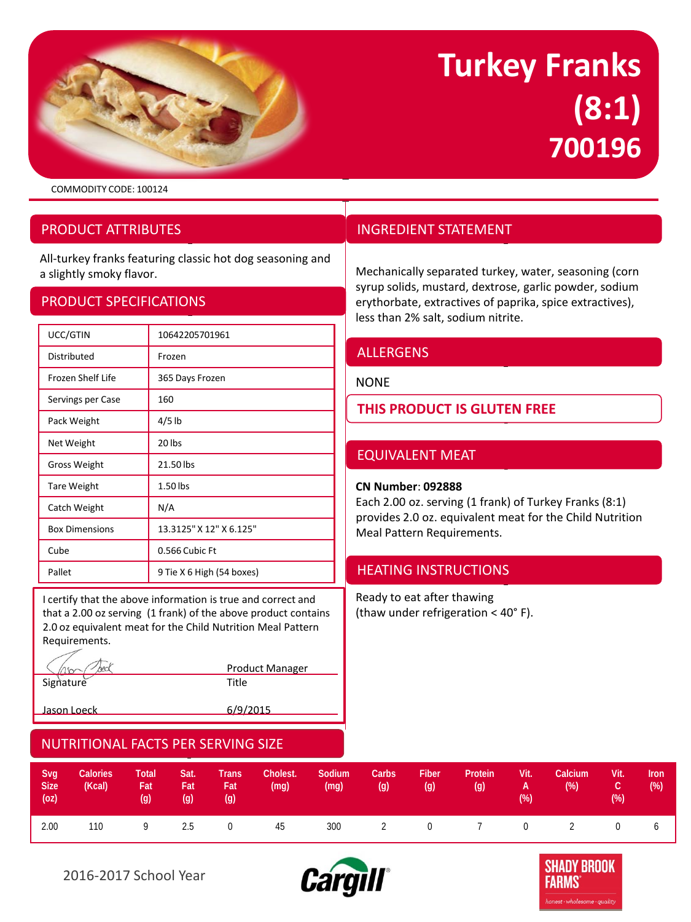

## **Turkey Franks (8:1) 700196**

COMMODITY CODE: 100124

## PRODUCT ATTRIBUTES

All-turkey franks featuring classic hot dog seasoning and a slightly smoky flavor. Mechanically separated turkey, water, seasoning (corn

### PRODUCT SPECIFICATIONS

| UCC/GTIN              | 10642205701961            |  |  |  |  |  |
|-----------------------|---------------------------|--|--|--|--|--|
| Distributed           | Frozen                    |  |  |  |  |  |
| Frozen Shelf Life     | 365 Days Frozen           |  |  |  |  |  |
| Servings per Case     | 160                       |  |  |  |  |  |
| Pack Weight           | $4/5$ lb                  |  |  |  |  |  |
| Net Weight            | 20 lbs                    |  |  |  |  |  |
| <b>Gross Weight</b>   | 21.50 lbs                 |  |  |  |  |  |
| <b>Tare Weight</b>    | 1.50 lbs                  |  |  |  |  |  |
| Catch Weight          | N/A                       |  |  |  |  |  |
| <b>Box Dimensions</b> | 13.3125" X 12" X 6.125"   |  |  |  |  |  |
| Cube                  | 0.566 Cubic Ft            |  |  |  |  |  |
| Pallet                | 9 Tie X 6 High (54 boxes) |  |  |  |  |  |

I certify that the above information is true and correct and that a 2.00 oz serving (1 frank) of the above product contains 2.0 oz equivalent meat for the Child Nutrition Meal Pattern Requirements.

hark Product Manager Signature Title

Jason Loeck 6/9/2015

## INGREDIENT STATEMENT

syrup solids, mustard, dextrose, garlic powder, sodium erythorbate, extractives of paprika, spice extractives), less than 2% salt, sodium nitrite.

## ALLERGENS

#### NONE

**THIS PRODUCT IS GLUTEN FREE**

## EQUIVALENT MEAT

#### **CN Number**: **092888**

Each 2.00 oz. serving (1 frank) of Turkey Franks (8:1) provides 2.0 oz. equivalent meat for the Child Nutrition Meal Pattern Requirements.

## HEATING INSTRUCTIONS

Ready to eat after thawing (thaw under refrigeration < 40° F).

| Svg<br><b>Size</b><br>(oz) | <b>Calories</b><br>(Kcal) | <b>Total</b><br>Fat I<br>$\left( q\right)$ | Sat.<br><b>Fat</b><br>(g) | <b>Trans</b><br>Fat<br>(q) | Cholest.<br>(mg) | Sodium<br>(mg) | Carbs<br>(g)   | <b>Fiber</b><br>(g) | Protein<br>(g)                 | Vit.<br><b>A</b><br>(% ) | Calcium<br>$(\%)$ | Vit.<br>C.<br>(%) | Iron<br>(%) |
|----------------------------|---------------------------|--------------------------------------------|---------------------------|----------------------------|------------------|----------------|----------------|---------------------|--------------------------------|--------------------------|-------------------|-------------------|-------------|
| 2.00                       | 110                       | 9                                          | 2.5                       | $0 \qquad \qquad$          | 45               | 300            | $\overline{2}$ |                     | $0 \qquad 7 \qquad 0 \qquad 2$ |                          |                   | $\mathbf{0}$      |             |



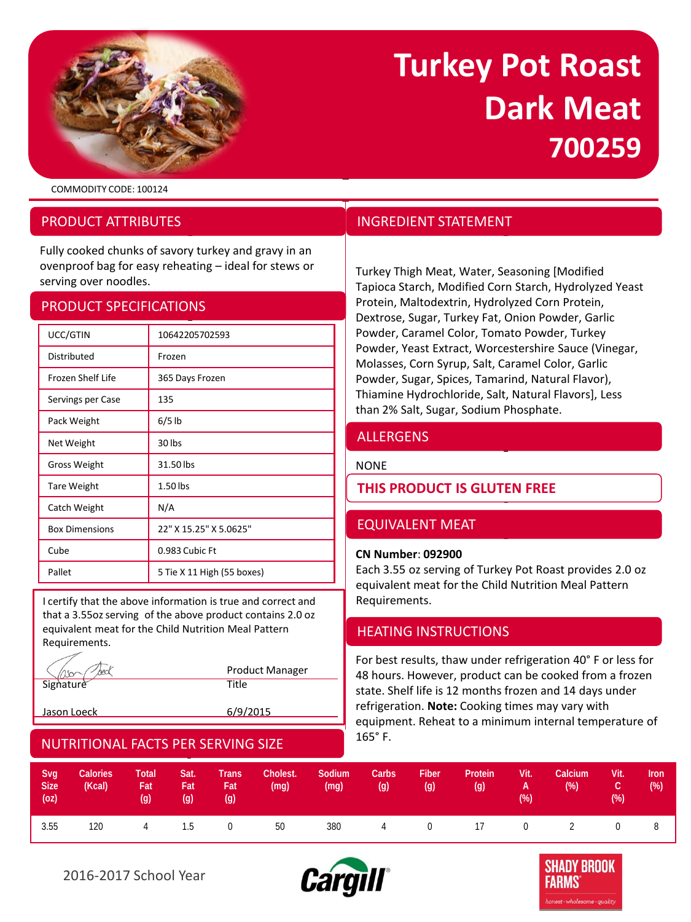

## **Turkey Pot Roast Dark Meat 700259**

COMMODITY CODE: 100124

## PRODUCT ATTRIBUTES

Fully cooked chunks of savory turkey and gravy in an ovenproof bag for easy reheating – ideal for stews or overiproof bag for easy refleating – ideal for stews or Turkey Thigh Meat, Water, Seasoning [Modified<br>Serving over noodles.

### PRODUCT SPECIFICATIONS

| UCC/GTIN                 | 10642205702593             |  |  |  |  |  |
|--------------------------|----------------------------|--|--|--|--|--|
| Distributed              | Frozen                     |  |  |  |  |  |
| <b>Frozen Shelf Life</b> | 365 Days Frozen            |  |  |  |  |  |
| Servings per Case        | 135                        |  |  |  |  |  |
| Pack Weight              | $6/5$ lb                   |  |  |  |  |  |
| Net Weight               | 30 lbs                     |  |  |  |  |  |
| <b>Gross Weight</b>      | 31.50 lbs                  |  |  |  |  |  |
| <b>Tare Weight</b>       | 1.50 lbs                   |  |  |  |  |  |
| Catch Weight             | N/A                        |  |  |  |  |  |
| <b>Box Dimensions</b>    | 22" X 15.25" X 5.0625"     |  |  |  |  |  |
| Cube                     | 0.983 Cubic Ft             |  |  |  |  |  |
| Pallet                   | 5 Tie X 11 High (55 boxes) |  |  |  |  |  |

I certify that the above information is true and correct and that a 3.55oz serving of the above product contains 2.0 oz equivalent meat for the Child Nutrition Meal Pattern Requirements.

|             | <b>Product Manager</b> |
|-------------|------------------------|
| Signature   | Title                  |
| Jason Loeck | 6/9/2015               |

## NUTRITIONAL FACTS PER SERVING SIZE

## INGREDIENT STATEMENT

Tapioca Starch, Modified Corn Starch, Hydrolyzed Yeast Protein, Maltodextrin, Hydrolyzed Corn Protein, Dextrose, Sugar, Turkey Fat, Onion Powder, Garlic Powder, Caramel Color, Tomato Powder, Turkey Powder, Yeast Extract, Worcestershire Sauce (Vinegar, Molasses, Corn Syrup, Salt, Caramel Color, Garlic Powder, Sugar, Spices, Tamarind, Natural Flavor), Thiamine Hydrochloride, Salt, Natural Flavors], Less than 2% Salt, Sugar, Sodium Phosphate.

## **ALLERGENS**

NONE

## **THIS PRODUCT IS GLUTEN FREE**

## EQUIVALENT MEAT

#### **CN Number**: **092900**

Each 3.55 oz serving of Turkey Pot Roast provides 2.0 oz equivalent meat for the Child Nutrition Meal Pattern Requirements.

## HEATING INSTRUCTIONS

For best results, thaw under refrigeration 40° F or less for 48 hours. However, product can be cooked from a frozen state. Shelf life is 12 months frozen and 14 days under refrigeration. **Note:** Cooking times may vary with equipment. Reheat to a minimum internal temperature of 165° F.

| Svg<br><b>Size</b><br>(oz) | <b>Calories</b><br>(Kcal) | Total<br>Fat<br>(q) | Sat.<br>Fat I<br>(g) | <b>Trans</b><br>Fat<br>(q) | Cholest.<br>(mg) | Sodium<br>(mg) | Carbs<br>(q) | <b>Fiber</b><br>(g) | Protein<br>(g) | Vit.<br>A Z<br>(% ) | Calcium<br>$(\%)$ | Vit.<br>rc i<br>$(\%)$ | <b>Iron</b><br>$(\%)$ |
|----------------------------|---------------------------|---------------------|----------------------|----------------------------|------------------|----------------|--------------|---------------------|----------------|---------------------|-------------------|------------------------|-----------------------|
| 3.55                       | 120                       |                     | 4 1.5                | $\sim$ 0                   | 50               | 380            |              |                     | 4 0 17 0 2     |                     |                   | $\mathbf{0}$           |                       |



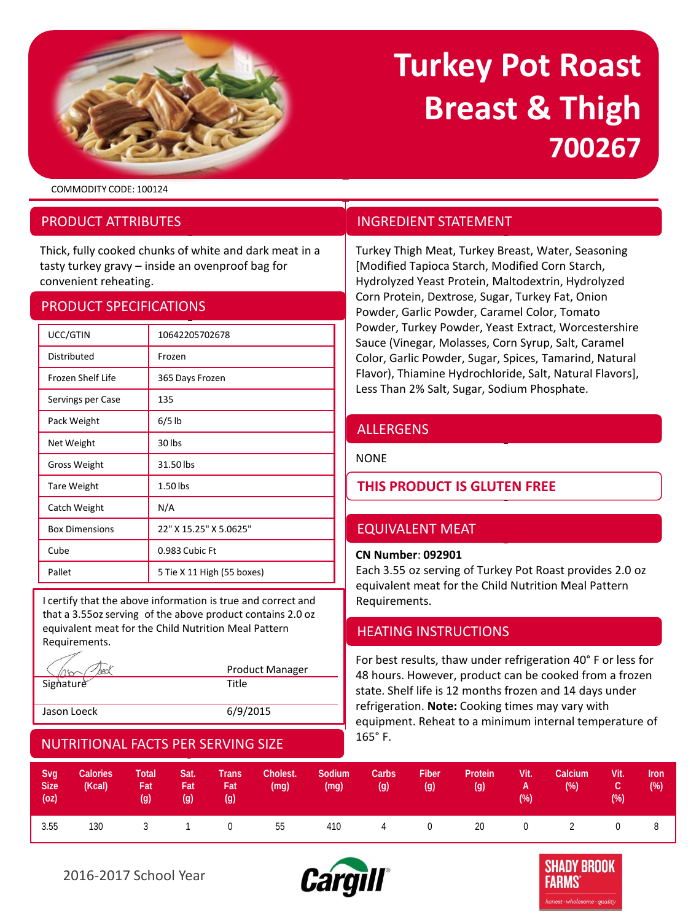

# **Turkey Pot Roast Breast & Thigh 700267**

COMMODITY CODE: 100124

## PRODUCT ATTRIBUTES

Thick, fully cooked chunks of white and dark meat in a tasty turkey gravy – inside an ovenproof bag for convenient reheating.

### PRODUCT SPECIFICATIONS

| UCC/GTIN              | 10642205702678             |  |  |  |  |  |
|-----------------------|----------------------------|--|--|--|--|--|
| Distributed           | Frozen                     |  |  |  |  |  |
| Frozen Shelf Life     | 365 Days Frozen            |  |  |  |  |  |
| Servings per Case     | 135                        |  |  |  |  |  |
| Pack Weight           | $6/5$ lb                   |  |  |  |  |  |
| Net Weight            | 30 lbs                     |  |  |  |  |  |
| <b>Gross Weight</b>   | 31.50 lbs                  |  |  |  |  |  |
| <b>Tare Weight</b>    | 1.50 lbs                   |  |  |  |  |  |
| Catch Weight          | N/A                        |  |  |  |  |  |
| <b>Box Dimensions</b> | 22" X 15.25" X 5.0625"     |  |  |  |  |  |
| Cube                  | 0.983 Cubic Ft             |  |  |  |  |  |
| Pallet                | 5 Tie X 11 High (55 boxes) |  |  |  |  |  |

I certify that the above information is true and correct and that a 3.55oz serving of the above product contains 2.0 oz equivalent meat for the Child Nutrition Meal Pattern Requirements.

|             | <b>Product Manager</b> |
|-------------|------------------------|
| Signature   | Title                  |
|             |                        |
| Jason Loeck | 6/9/2015               |

## NUTRITIONAL FACTS PER SERVING SIZE

## INGREDIENT STATEMENT

Turkey Thigh Meat, Turkey Breast, Water, Seasoning [Modified Tapioca Starch, Modified Corn Starch, Hydrolyzed Yeast Protein, Maltodextrin, Hydrolyzed Corn Protein, Dextrose, Sugar, Turkey Fat, Onion Powder, Garlic Powder, Caramel Color, Tomato Powder, Turkey Powder, Yeast Extract, Worcestershire Sauce (Vinegar, Molasses, Corn Syrup, Salt, Caramel Color, Garlic Powder, Sugar, Spices, Tamarind, Natural Flavor), Thiamine Hydrochloride, Salt, Natural Flavors], Less Than 2% Salt, Sugar, Sodium Phosphate.

## ALLERGENS

**NONE** 

## **THIS PRODUCT IS GLUTEN FREE**

## EQUIVALENT MEAT

#### **CN Number**: **092901**

Each 3.55 oz serving of Turkey Pot Roast provides 2.0 oz equivalent meat for the Child Nutrition Meal Pattern Requirements.

## HEATING INSTRUCTIONS

For best results, thaw under refrigeration 40° F or less for 48 hours. However, product can be cooked from a frozen state. Shelf life is 12 months frozen and 14 days under refrigeration. **Note:** Cooking times may vary with equipment. Reheat to a minimum internal temperature of 165° F.

| Svq<br><b>Size</b><br>(oz) | <b>Calories</b><br>(Kcal) | Total<br>Fat<br>(g) | Sat.<br>Fat,<br>(g) | <b>Trans</b><br>Fat,<br>(q) | Cholest.<br>(mg) | Sodium<br>(mg) | Carbs<br>(q) | <b>Fiber</b><br>(g) | Protein<br>(g)       | Vit.<br>A<br>$(\%)$ | Calcium<br>$(\%)$ | Vit.<br>rc i<br>(%) | <b>Iron</b><br>(%) |
|----------------------------|---------------------------|---------------------|---------------------|-----------------------------|------------------|----------------|--------------|---------------------|----------------------|---------------------|-------------------|---------------------|--------------------|
| 3.55                       | 130                       |                     |                     | 3 1 0                       | 55               | 410            | $\sim$ 4     |                     | $0 \qquad \qquad 20$ | $\overline{0}$      | $\overline{2}$    |                     |                    |



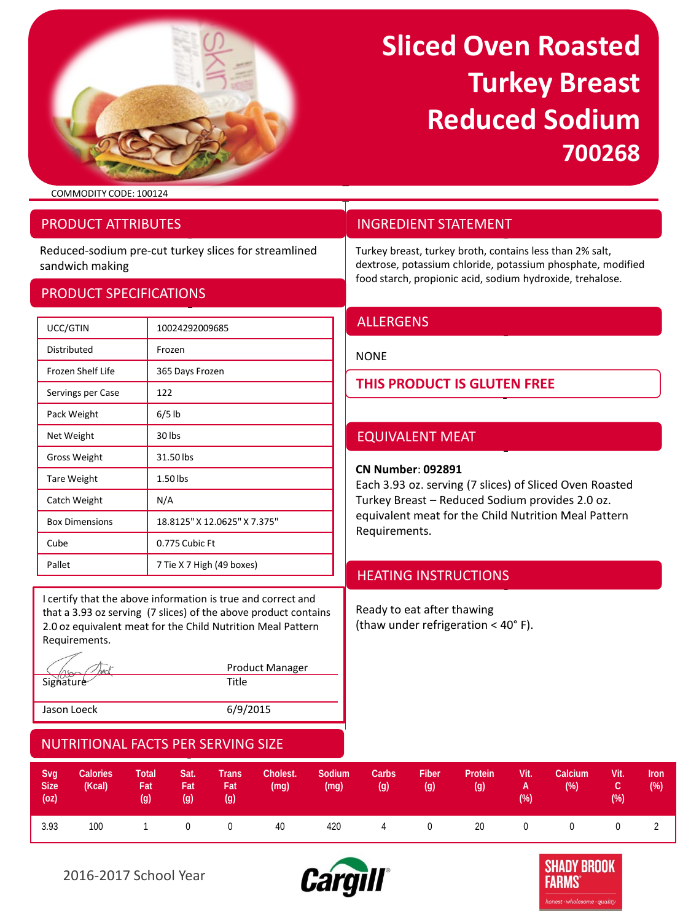

## **Sliced Oven Roasted Turkey Breast Reduced Sodium 700268**

COMMODITY CODE: 100124

## PRODUCT ATTRIBUTES

Reduced-sodium pre-cut turkey slices for streamlined sandwich making

### PRODUCT SPECIFICATIONS

## UCC/GTIN 10024292009685 Distributed **Frozen** Frozen Shelf Life 365 Days Frozen Servings per Case 122 Pack Weight 6/5 lb Net Weight 30 lbs Gross Weight 31.50 lbs Tare Weight 1.50 lbs Catch Weight N/A Box Dimensions 18.8125" X 12.0625" X 7.375" Cube 0.775 Cubic Ft Pallet 7 Tie X 7 High (49 boxes)

I certify that the above information is true and correct and that a 3.93 oz serving (7 slices) of the above product contains 2.0 oz equivalent meat for the Child Nutrition Meal Pattern Requirements.

Product Manager Signature Title Jason Loeck 6/9/2015

## INGREDIENT STATEMENT

Turkey breast, turkey broth, contains less than 2% salt, dextrose, potassium chloride, potassium phosphate, modified food starch, propionic acid, sodium hydroxide, trehalose.

## **ALLERGENS**

NONE

## **THIS PRODUCT IS GLUTEN FREE**

## EQUIVALENT MEAT

#### **CN Number**: **092891**

Each 3.93 oz. serving (7 slices) of Sliced Oven Roasted Turkey Breast – Reduced Sodium provides 2.0 oz. equivalent meat for the Child Nutrition Meal Pattern Requirements.

## HEATING INSTRUCTIONS

Ready to eat after thawing (thaw under refrigeration < 40° F).

| Svg<br><b>Size</b><br>(oz) | Calories<br>(Kcal) | Total<br>Fat<br>$\left( q\right)$ | Sat.<br>Fat<br>(g) | <b>Trans</b><br>Fat<br>(g) | Cholest.<br>(mg) | Sodium<br>(mg) | Carbs<br>(g) | Fiber<br>(g) | Protein<br>(g) | Vit.<br><b>A</b><br>(% ) | Calcium<br>$(\%)$     | .Vit.<br>C.<br>$(\%)$ | <b>Iron</b><br>(%) |
|----------------------------|--------------------|-----------------------------------|--------------------|----------------------------|------------------|----------------|--------------|--------------|----------------|--------------------------|-----------------------|-----------------------|--------------------|
| 3.93                       | 100                |                                   |                    | 1 0 0                      | 40               | 420            |              |              | 4 0 20 0       |                          | $\Omega$ and $\Omega$ | $\overline{0}$        |                    |



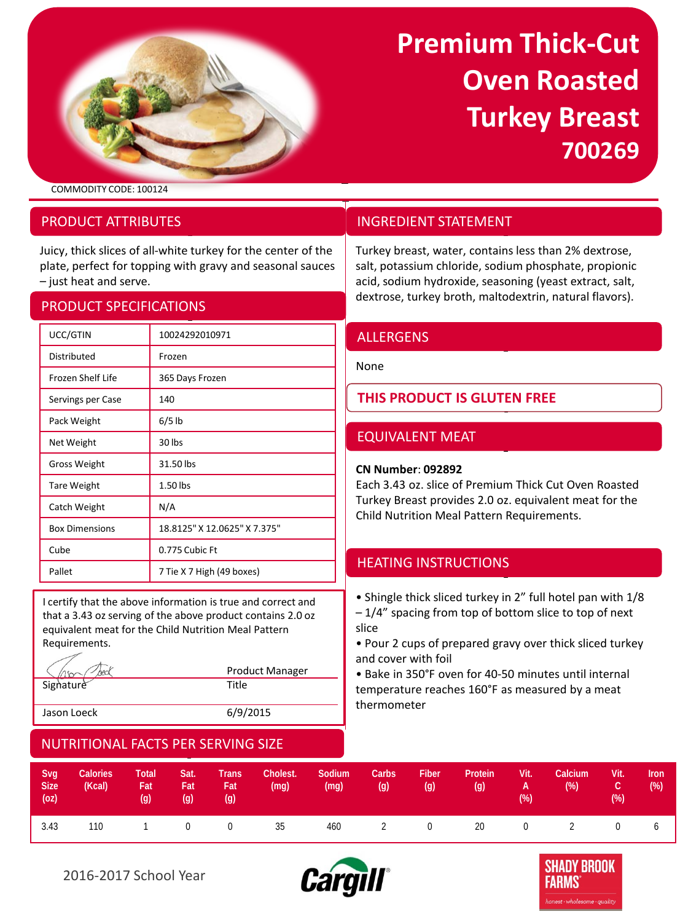

## **Premium Thick-Cut Oven Roasted Turkey Breast 700269**

COMMODITY CODE: 100124

## PRODUCT ATTRIBUTES

Juicy, thick slices of all-white turkey for the center of the plate, perfect for topping with gravy and seasonal sauces – just heat and serve.

## PRODUCT SPECIFICATIONS

| UCC/GTIN              | 10024292010971               |
|-----------------------|------------------------------|
| Distributed           | Frozen                       |
| Frozen Shelf Life     | 365 Days Frozen              |
| Servings per Case     | 140                          |
| Pack Weight           | $6/5$ lb                     |
| Net Weight            | 30 lbs                       |
| <b>Gross Weight</b>   | 31.50 lbs                    |
| <b>Tare Weight</b>    | 1.50 lbs                     |
| Catch Weight          | N/A                          |
| <b>Box Dimensions</b> | 18.8125" X 12.0625" X 7.375" |
| Cube                  | 0.775 Cubic Ft               |
| Pallet                | 7 Tie X 7 High (49 boxes)    |

I certify that the above information is true and correct and that a 3.43 oz serving of the above product contains 2.0 oz equivalent meat for the Child Nutrition Meal Pattern Requirements.

|             | <b>Product Manager</b> |
|-------------|------------------------|
| Signature   | Title                  |
|             |                        |
| Jason Loeck | 6/9/2015               |

## NUTRITIONAL FACTS PER SERVING SIZE

## INGREDIENT STATEMENT

Turkey breast, water, contains less than 2% dextrose, salt, potassium chloride, sodium phosphate, propionic acid, sodium hydroxide, seasoning (yeast extract, salt, dextrose, turkey broth, maltodextrin, natural flavors).

## ALLERGENS

None

## **THIS PRODUCT IS GLUTEN FREE**

## EQUIVALENT MEAT

#### **CN Number**: **092892**

Each 3.43 oz. slice of Premium Thick Cut Oven Roasted Turkey Breast provides 2.0 oz. equivalent meat for the Child Nutrition Meal Pattern Requirements.

## HEATING INSTRUCTIONS

• Shingle thick sliced turkey in 2" full hotel pan with 1/8

– 1/4" spacing from top of bottom slice to top of next slice

• Pour 2 cups of prepared gravy over thick sliced turkey and cover with foil

• Bake in 350°F oven for 40-50 minutes until internal temperature reaches 160°F as measured by a meat thermometer

| Svg<br><b>Size</b><br>(oz) | Calories<br>(Kcal) | Total<br>Fat<br>(q) | Sat.<br>Fat<br>(q) | Trans<br>Fat<br>(g) | Cholest.<br>(mg) | Sodium<br>(mg) | Carbs<br>(g) | Fiber<br>(g) | Protein<br>(g) | Vit.<br>and <b>A</b> control<br>(%) | Calcium<br>(% ) | Vit.<br>7 C Z<br>$(\%)$ | <b>Iron</b><br>(% ) |
|----------------------------|--------------------|---------------------|--------------------|---------------------|------------------|----------------|--------------|--------------|----------------|-------------------------------------|-----------------|-------------------------|---------------------|
| 3.43                       | 110                |                     |                    |                     | 1 0 0 35         | 460            |              |              | 2 0 20 0 2     |                                     |                 |                         |                     |



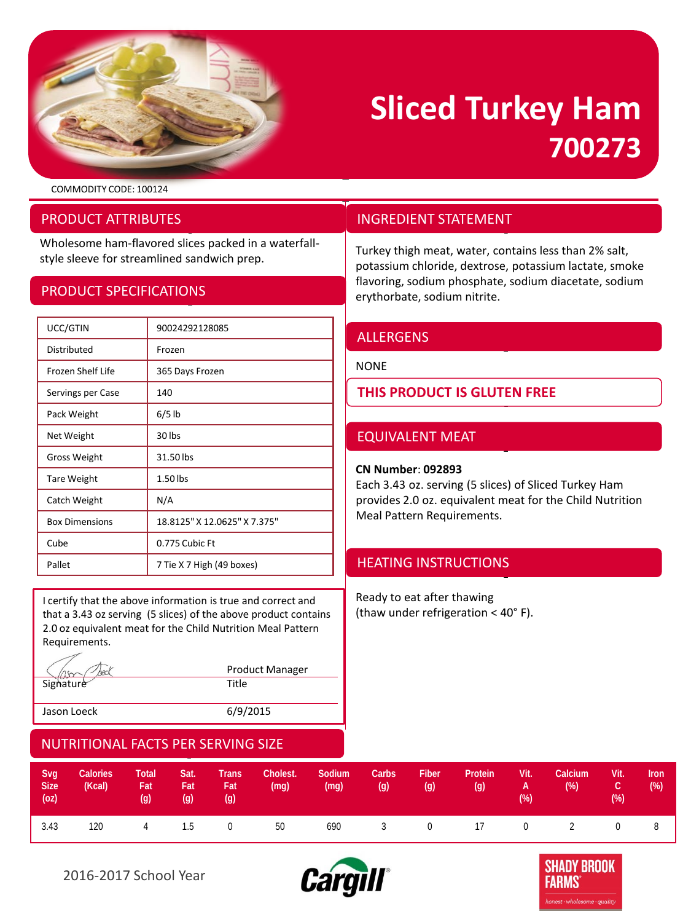

## **Sliced Turkey Ham 700273**

COMMODITY CODE: 100124

## PRODUCT ATTRIBUTES

Wholesome ham-flavored slices packed in a waterfallstyle sleeve for streamlined sandwich prep.<br>
Turkey thigh meat, water, contains less than 2% salt,<br>
Turkey thigh meat, water, contains less than 2% salt,

## PRODUCT SPECIFICATIONS

| UCC/GTIN              | 90024292128085               |
|-----------------------|------------------------------|
| Distributed           | Frozen                       |
| Frozen Shelf Life     | 365 Days Frozen              |
| Servings per Case     | 140                          |
| Pack Weight           | $6/5$ lb                     |
| Net Weight            | 30 lbs                       |
| <b>Gross Weight</b>   | 31.50 lbs                    |
| <b>Tare Weight</b>    | $1.50$ lbs                   |
| Catch Weight          | N/A                          |
| <b>Box Dimensions</b> | 18.8125" X 12.0625" X 7.375" |
| Cube                  | 0.775 Cubic Ft               |
| Pallet                | 7 Tie X 7 High (49 boxes)    |

I certify that the above information is true and correct and that a 3.43 oz serving (5 slices) of the above product contains 2.0 oz equivalent meat for the Child Nutrition Meal Pattern Requirements.

|             | <b>Product Manager</b> |
|-------------|------------------------|
| Signature   | Title                  |
|             |                        |
| Jason Loeck | 6/9/2015               |

## NUTRITIONAL FACTS PER SERVING SIZE

| Svg<br><b>Size</b><br>(oz) | <b>Calories</b><br>(Kcal) | <b>Total</b><br>Fat<br>$\left( q\right)$ | Sat.<br>/ Fat<br>(g) | <b>Trans</b><br>/Fat<br>(q) | Cholest.<br>(mg) | Sodium<br>(mg) | Carbs<br>(g) | <b>Fiber</b><br>(g) | Protein<br>(g) | Vit.<br><b>All All Angeles A</b><br>(% ) | Calcium<br>$(\%)$ | Vit.<br>ГC j<br>$(\%)$ | <b>Iron</b><br>(%) |
|----------------------------|---------------------------|------------------------------------------|----------------------|-----------------------------|------------------|----------------|--------------|---------------------|----------------|------------------------------------------|-------------------|------------------------|--------------------|
| 3.43                       | 120                       | 4 1.5                                    |                      | $\sim$ 0                    | 50               | 690            |              |                     |                |                                          | 3 0 17 0 2        | 0                      | - 8                |





## INGREDIENT STATEMENT

potassium chloride, dextrose, potassium lactate, smoke flavoring, sodium phosphate, sodium diacetate, sodium erythorbate, sodium nitrite.

### ALLERGENS

NONE

**THIS PRODUCT IS GLUTEN FREE**

## EQUIVALENT MEAT

#### **CN Number**: **092893**

Each 3.43 oz. serving (5 slices) of Sliced Turkey Ham provides 2.0 oz. equivalent meat for the Child Nutrition Meal Pattern Requirements.

## HEATING INSTRUCTIONS

Ready to eat after thawing (thaw under refrigeration < 40° F).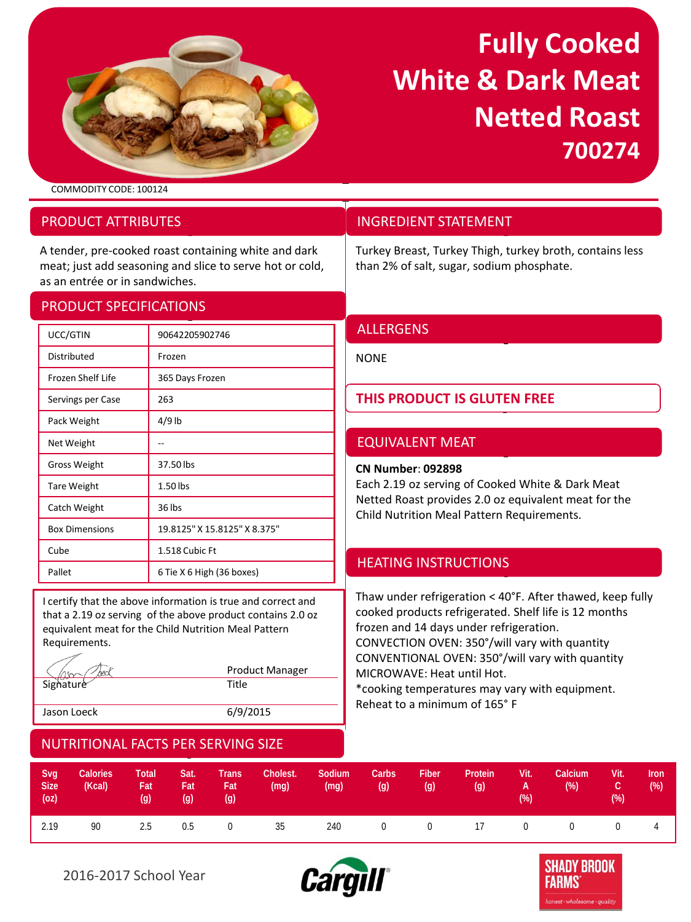

## **Fully Cooked White & Dark Meat Netted Roast 700274**

COMMODITY CODE: 100124

## PRODUCT ATTRIBUTES

A tender, pre-cooked roast containing white and dark meat; just add seasoning and slice to serve hot or cold, as an entrée or in sandwiches.

## PRODUCT SPECIFICATIONS

| UCC/GTIN              | 90642205902746               |
|-----------------------|------------------------------|
| Distributed           | Frozen                       |
| Frozen Shelf Life     | 365 Days Frozen              |
| Servings per Case     | 263                          |
| Pack Weight           | $4/9$ lb                     |
| Net Weight            |                              |
| <b>Gross Weight</b>   | 37.50 lbs                    |
| <b>Tare Weight</b>    | 1.50 lbs                     |
| Catch Weight          | 36 lbs                       |
| <b>Box Dimensions</b> | 19.8125" X 15.8125" X 8.375" |
| Cube                  | 1.518 Cubic Ft               |
| Pallet                | 6 Tie X 6 High (36 boxes)    |

I certify that the above information is true and correct and that a 2.19 oz serving of the above product contains 2.0 oz equivalent meat for the Child Nutrition Meal Pattern Requirements.

|             | <b>Product Manager</b> |
|-------------|------------------------|
| Signature   | Title                  |
|             |                        |
| Jason Loeck | 6/9/2015               |

## NUTRITIONAL FACTS PER SERVING SIZE

## INGREDIENT STATEMENT

Turkey Breast, Turkey Thigh, turkey broth, contains less than 2% of salt, sugar, sodium phosphate.

## ALLERGENS

**NONE** 

## **THIS PRODUCT IS GLUTEN FREE**

## EQUIVALENT MEAT

#### **CN Number**: **092898**

Each 2.19 oz serving of Cooked White & Dark Meat Netted Roast provides 2.0 oz equivalent meat for the Child Nutrition Meal Pattern Requirements.

## HEATING INSTRUCTIONS

Thaw under refrigeration < 40°F. After thawed, keep fully cooked products refrigerated. Shelf life is 12 months frozen and 14 days under refrigeration. CONVECTION OVEN: 350°/will vary with quantity CONVENTIONAL OVEN: 350°/will vary with quantity MICROWAVE: Heat until Hot. \*cooking temperatures may vary with equipment. Reheat to a minimum of 165° F

| Svg<br><b>Size</b><br>(oz) | <b>Calories</b><br>(Kcal) | Total<br>Fat<br>(g) | Sat.<br>Fat<br>(g) | <b>Trans</b><br>Fat<br>(q) | Cholest.<br>(mq) | Sodium<br>(mg) | Carbs<br>(g)   | <b>Fiber</b><br>(g) | Protein<br>(g)       | Vit.<br><b>A</b><br>(% ) | Calcium<br>$(\%)$ | Vit.<br>C.<br>(%) | Iron<br>(%) |
|----------------------------|---------------------------|---------------------|--------------------|----------------------------|------------------|----------------|----------------|---------------------|----------------------|--------------------------|-------------------|-------------------|-------------|
| 2.19                       | 90                        | 2.5                 | 0.5                | $\overline{0}$             | 35               | 240            | $\overline{0}$ |                     | $0 \qquad \qquad$ 17 | $\overline{0}$           | $\overline{0}$    |                   |             |



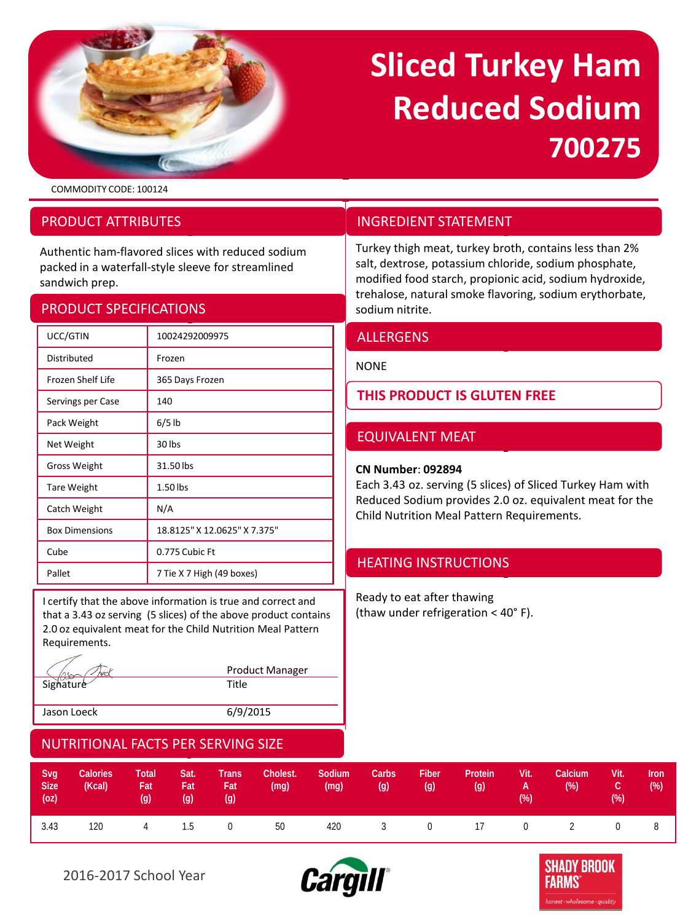

# **Sliced Turkey Ham Reduced Sodium 700275**

Turkey thigh meat, turkey broth, contains less than 2% salt, dextrose, potassium chloride, sodium phosphate, modified food starch, propionic acid, sodium hydroxide, trehalose, natural smoke flavoring, sodium erythorbate,

Each 3.43 oz. serving (5 slices) of Sliced Turkey Ham with Reduced Sodium provides 2.0 oz. equivalent meat for the

Child Nutrition Meal Pattern Requirements.

**THIS PRODUCT IS GLUTEN FREE**

INGREDIENT STATEMENT

EQUIVALENT MEAT

HEATING INSTRUCTIONS

Ready to eat after thawing (thaw under refrigeration < 40° F).

**CN Number**: **092894**

ALLERGENS

NONE

sodium nitrite.

COMMODITY CODE: 100124

## PRODUCT ATTRIBUTES

Authentic ham-flavored slices with reduced sodium packed in a waterfall-style sleeve for streamlined sandwich prep.

## PRODUCT SPECIFICATIONS

| UCC/GTIN              | 10024292009975               |
|-----------------------|------------------------------|
| Distributed           | Frozen                       |
| Frozen Shelf Life     | 365 Days Frozen              |
| Servings per Case     | 140                          |
| Pack Weight           | $6/5$ lb                     |
| Net Weight            | 30 lbs                       |
| Gross Weight          | 31.50 lbs                    |
| <b>Tare Weight</b>    | 1.50 lbs                     |
| Catch Weight          | N/A                          |
| <b>Box Dimensions</b> | 18.8125" X 12.0625" X 7.375" |
| Cube                  | 0.775 Cubic Ft               |
| Pallet                | 7 Tie X 7 High (49 boxes)    |

I certify that the above information is true and correct and that a 3.43 oz serving (5 slices) of the above product contains 2.0 oz equivalent meat for the Child Nutrition Meal Pattern Requirements.

|             | <b>Product Manager</b> |
|-------------|------------------------|
| Signature   | Title                  |
| Jason Loeck | 6/9/2015               |

| Svg<br><b>Size</b><br>(oz) | <b>Calories</b><br>(Kcal) | <b>Total</b><br>Fat<br>$\left( q\right)$ | Sat.<br>Fat<br>(q) | <b>Trans</b><br><b>Fat</b><br>(q) | Cholest.<br>(mg) | Sodium<br>(mg) | Carbs<br>(q) | <b>Fiber</b><br>(q) | Protein<br>(g) | Vit.<br><b>A</b><br>$(\%)$ | Calcium<br>$(\%)$ | Vit.<br>rc,<br>(%) | <b>Iron</b><br>(%) |
|----------------------------|---------------------------|------------------------------------------|--------------------|-----------------------------------|------------------|----------------|--------------|---------------------|----------------|----------------------------|-------------------|--------------------|--------------------|
| 3.43                       | 120                       | 4 1.5                                    |                    | $\sim$ 0                          | 50 — 10          | 420            |              |                     |                |                            | 3 0 17 0 2        | $0 \qquad \qquad$  | - 8                |



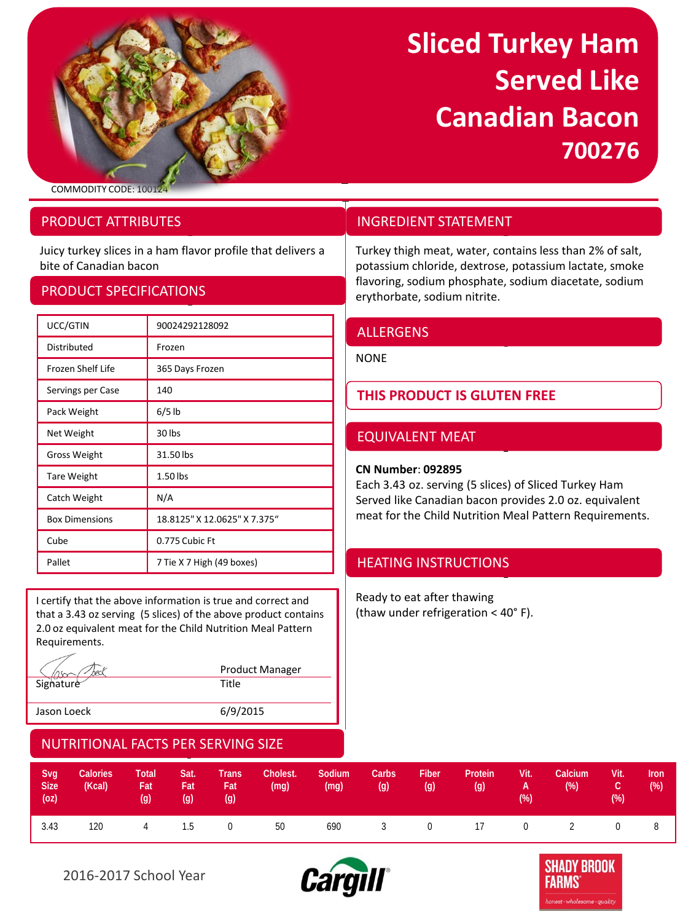

## **Sliced Turkey Ham Served Like Canadian Bacon 700276**

COMMODITY CODE: 10

## PRODUCT ATTRIBUTES

Juicy turkey slices in a ham flavor profile that delivers a bite of Canadian bacon

## PRODUCT SPECIFICATIONS

| UCC/GTIN              | 90024292128092               |
|-----------------------|------------------------------|
| Distributed           | Frozen                       |
| Frozen Shelf Life     | 365 Days Frozen              |
| Servings per Case     | 140                          |
| Pack Weight           | $6/5$ lb                     |
| Net Weight            | 30 lbs                       |
| Gross Weight          | 31.50 lbs                    |
| <b>Tare Weight</b>    | $1.50$ lbs                   |
| Catch Weight          | N/A                          |
| <b>Box Dimensions</b> | 18.8125" X 12.0625" X 7.375" |
| Cube                  | 0.775 Cubic Ft               |
| Pallet                | 7 Tie X 7 High (49 boxes)    |

I certify that the above information is true and correct and that a 3.43 oz serving (5 slices) of the above product contains 2.0 oz equivalent meat for the Child Nutrition Meal Pattern Requirements.

|             | <b>Product Manager</b> |
|-------------|------------------------|
| Signature   | Title                  |
| Jason Loeck | 6/9/2015               |

## INGREDIENT STATEMENT

Turkey thigh meat, water, contains less than 2% of salt, potassium chloride, dextrose, potassium lactate, smoke flavoring, sodium phosphate, sodium diacetate, sodium erythorbate, sodium nitrite.

## ALLERGENS

**NONE** 

## **THIS PRODUCT IS GLUTEN FREE**

## EQUIVALENT MEAT

#### **CN Number**: **092895**

Each 3.43 oz. serving (5 slices) of Sliced Turkey Ham Served like Canadian bacon provides 2.0 oz. equivalent meat for the Child Nutrition Meal Pattern Requirements.

## HEATING INSTRUCTIONS

Ready to eat after thawing (thaw under refrigeration < 40° F).

| Svg<br><b>Size</b><br>(oz) | <b>Calories</b><br>(Kcal) | <b>Total</b><br>Fat<br>$\left( q\right)$ | Sat.<br>'Fat<br>(q) | <b>Trans</b><br>Fat<br>(g) | Cholest.<br>(mg)     | Sodium<br>(mg) | Carbs<br>(g) | <b>Fiber</b><br>(g) | Protein<br>(g) | Vit.<br><b>A</b><br>(%) | Calcium<br>$(\%)$ | Vit.<br>rc,<br>(%) | Iron<br>(%) |
|----------------------------|---------------------------|------------------------------------------|---------------------|----------------------------|----------------------|----------------|--------------|---------------------|----------------|-------------------------|-------------------|--------------------|-------------|
| 3.43                       | 120                       |                                          | 4 1.5               |                            | $0 \qquad \qquad 50$ | 690            |              |                     |                |                         | 3 0 17 0 2        | $\overline{0}$     | 8           |



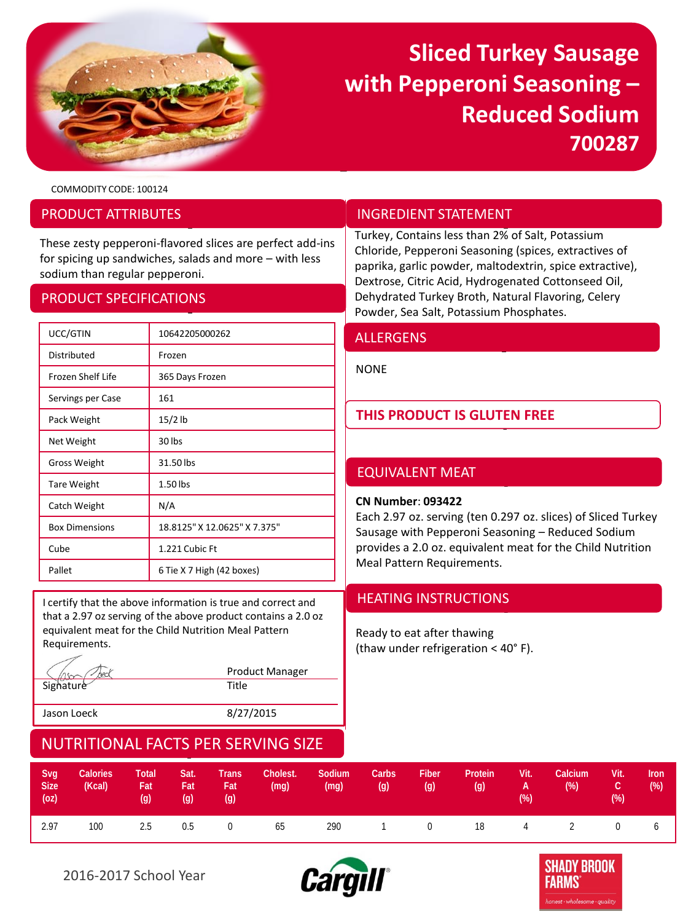

## **Sliced Turkey Sausage with Pepperoni Seasoning – Reduced Sodium 700287**

COMMODITY CODE: 100124

### PRODUCT ATTRIBUTES

These zesty pepperoni-flavored slices are perfect add-ins for spicing up sandwiches, salads and more – with less sodium than regular pepperoni.

### PRODUCT SPECIFICATIONS

| UCC/GTIN                 | 10642205000262               |
|--------------------------|------------------------------|
| Distributed              | Frozen                       |
| <b>Frozen Shelf Life</b> | 365 Days Frozen              |
| Servings per Case        | 161                          |
| Pack Weight              | $15/2$ lb                    |
| Net Weight               | 30 lbs                       |
| <b>Gross Weight</b>      | 31.50 lbs                    |
| <b>Tare Weight</b>       | $1.50$ lbs                   |
| Catch Weight             | N/A                          |
| <b>Box Dimensions</b>    | 18.8125" X 12.0625" X 7.375" |
| Cube                     | 1.221 Cubic Ft               |
| Pallet                   | 6 Tie X 7 High (42 boxes)    |

I certify that the above information is true and correct and **HEATING INSTRUCTIONS** that a 2.97 oz serving of the above product contains a 2.0 oz equivalent meat for the Child Nutrition Meal Pattern Requirements.

|             | <b>Product Manager</b> |
|-------------|------------------------|
| Signature   | Title                  |
| Jason Loeck | 8/27/2015              |

### INGREDIENT STATEMENT

Turkey, Contains less than 2% of Salt, Potassium Chloride, Pepperoni Seasoning (spices, extractives of paprika, garlic powder, maltodextrin, spice extractive), Dextrose, Citric Acid, Hydrogenated Cottonseed Oil, Dehydrated Turkey Broth, Natural Flavoring, Celery Powder, Sea Salt, Potassium Phosphates.

### ALLERGENS

NONE

## **THIS PRODUCT IS GLUTEN FREE**

## EQUIVALENT MEAT

#### **CN Number**: **093422**

Each 2.97 oz. serving (ten 0.297 oz. slices) of Sliced Turkey Sausage with Pepperoni Seasoning – Reduced Sodium provides a 2.0 oz. equivalent meat for the Child Nutrition Meal Pattern Requirements.

Ready to eat after thawing (thaw under refrigeration < 40° F).

| Svg<br>Size <sup>1</sup><br>(oz) | <b>Calories</b><br>(Kcal) | <b>Total</b><br>Fat<br>$\left( q\right)$ | Sat.<br>Fat,<br>(g) | <b>Trans</b><br>Fat,<br>(g) | Cholest.<br>(mg) | Sodium<br>(mg) | Carbs<br>(g) | Fiber<br>(g) | Protein<br>(g) | Vit.<br>A<br>$(\%)$ | Calcium<br>$(\%)$ | Vit.<br>гc,<br>$(\%)$ | <b>Iron</b><br>(%) |
|----------------------------------|---------------------------|------------------------------------------|---------------------|-----------------------------|------------------|----------------|--------------|--------------|----------------|---------------------|-------------------|-----------------------|--------------------|
| 2.97                             | 100                       | 2.5                                      | 0.5                 | $\overline{0}$              | 65               | 290            |              |              | 1 0 18 4 2     |                     |                   | $\overline{0}$        | 6                  |